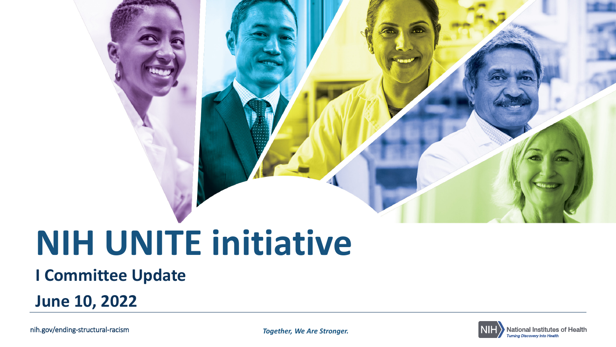# **NIH UNITE initiative**

#### **I Committee Update**

**June 10, 2022**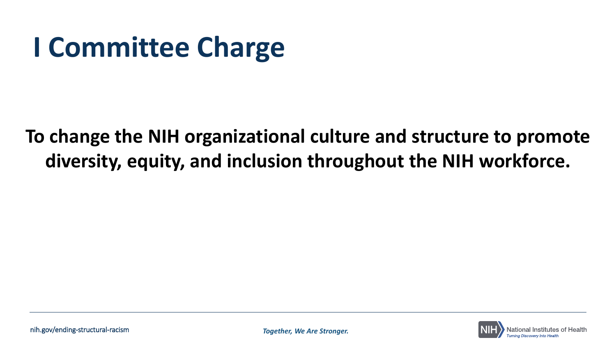# **I Committee Charge**

### **To change the NIH organizational culture and structure to promote diversity, equity, and inclusion throughout the NIH workforce.**

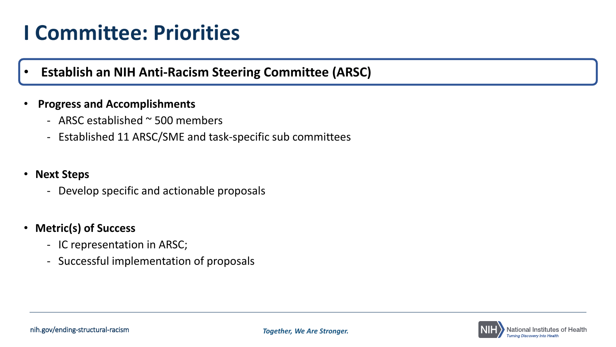• **Establish an NIH Anti-Racism Steering Committee (ARSC)**

#### • **Progress and Accomplishments**

- ARSC established ~ 500 members
- Established 11 ARSC/SME and task-specific sub committees

#### • **Next Steps**

- Develop specific and actionable proposals

#### • **Metric(s) of Success**

- IC representation in ARSC;
- Successful implementation of proposals

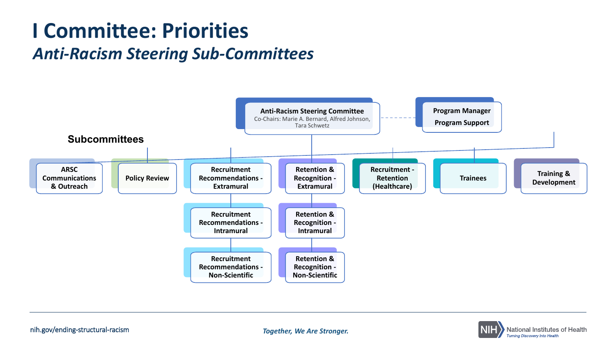### **I Committee: Priorities**  *Anti-Racism Steering Sub-Committees*



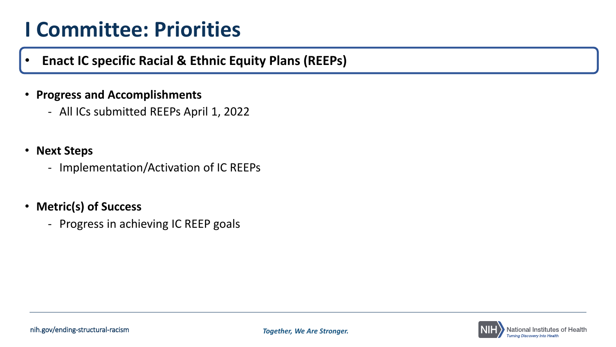- **Enact IC specific Racial & Ethnic Equity Plans (REEPs)**
- **Progress and Accomplishments**
	- All ICs submitted REEPs April 1, 2022
- **Next Steps**
	- Implementation/Activation of IC REEPs
- **Metric(s) of Success**
	- Progress in achieving IC REEP goals

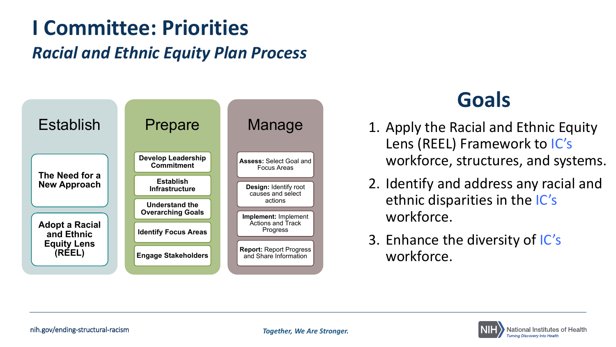### *Racial and Ethnic Equity Plan Process* **I Committee: Priorities**



### **Goals**

- 1. Apply the Racial and Ethnic Equity Lens (REEL) Framework to IC's workforce, structures, and systems.
- 2. Identify and address any racial and ethnic disparities in the IC's workforce.
- 3. Enhance the diversity of IC's workforce.

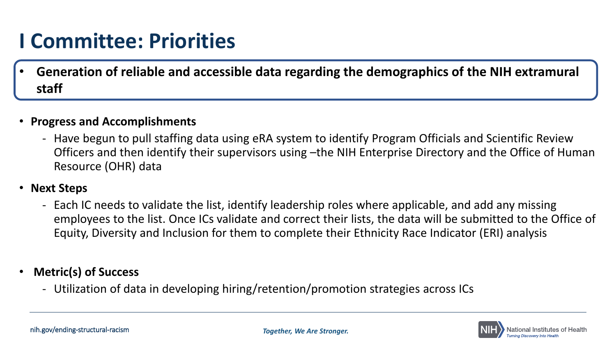• **Generation of reliable and accessible data regarding the demographics of the NIH extramural staff**

#### • **Progress and Accomplishments**

- Have begun to pull staffing data using eRA system to identify Program Officials and Scientific Review Officers and then identify their supervisors using –the NIH Enterprise Directory and the Office of Human Resource (OHR) data

#### • **Next Steps**

- Each IC needs to validate the list, identify leadership roles where applicable, and add any missing employees to the list. Once ICs validate and correct their lists, the data will be submitted to the Office of Equity, Diversity and Inclusion for them to complete their Ethnicity Race Indicator (ERI) analysis

#### • **Metric(s) of Success**

- Utilization of data in developing hiring/retention/promotion strategies across ICs

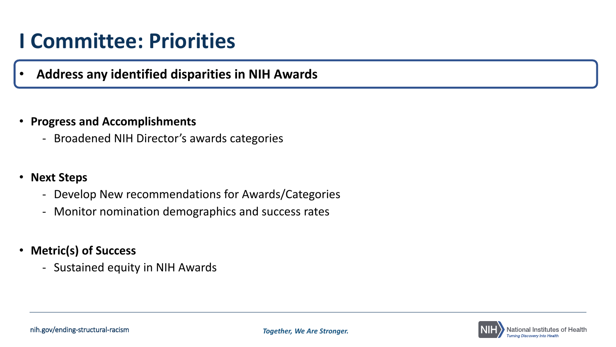#### • **Address any identified disparities in NIH Awards**

#### • **Progress and Accomplishments**

- Broadened NIH Director's awards categories

#### • **Next Steps**

- Develop New recommendations for Awards/Categories
- Monitor nomination demographics and success rates
- **Metric(s) of Success** 
	- Sustained equity in NIH Awards

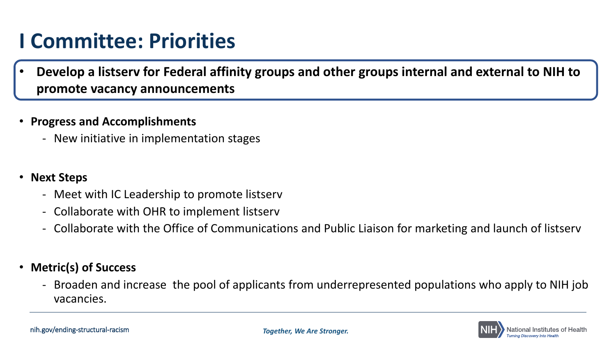• **Develop a listserv for Federal affinity groups and other groups internal and external to NIH to promote vacancy announcements**

#### • **Progress and Accomplishments**

- New initiative in implementation stages

#### • **Next Steps**

- Meet with IC Leadership to promote listserv
- Collaborate with OHR to implement listserv
- Collaborate with the Office of Communications and Public Liaison for marketing and launch of listserv

#### • **Metric(s) of Success**

- Broaden and increase the pool of applicants from underrepresented populations who apply to NIH job vacancies.